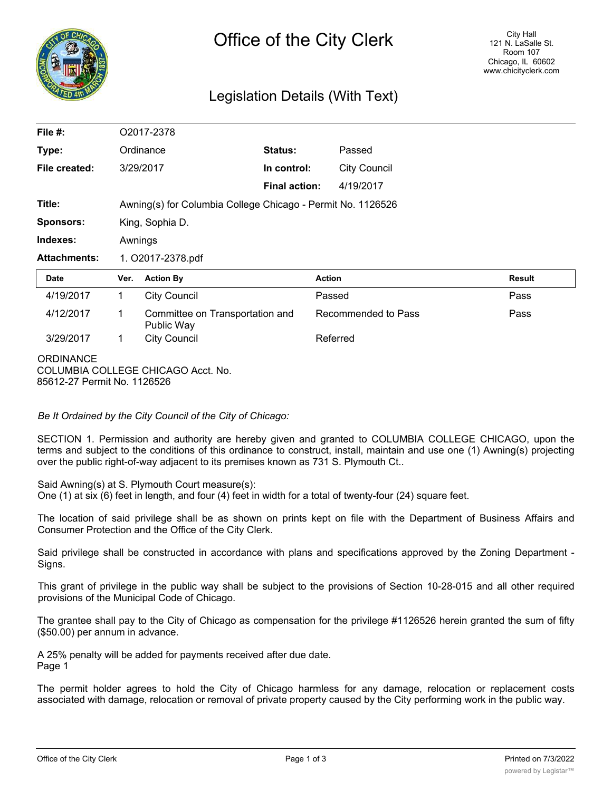

# Legislation Details (With Text)

| File $#$ :          |                                                             | O2017-2378                                    |                      |                     |  |               |  |
|---------------------|-------------------------------------------------------------|-----------------------------------------------|----------------------|---------------------|--|---------------|--|
| Type:               |                                                             | Ordinance                                     | <b>Status:</b>       | Passed              |  |               |  |
| File created:       |                                                             | 3/29/2017                                     | In control:          | <b>City Council</b> |  |               |  |
|                     |                                                             |                                               | <b>Final action:</b> | 4/19/2017           |  |               |  |
| Title:              | Awning(s) for Columbia College Chicago - Permit No. 1126526 |                                               |                      |                     |  |               |  |
| <b>Sponsors:</b>    |                                                             | King, Sophia D.                               |                      |                     |  |               |  |
| Indexes:            |                                                             | Awnings                                       |                      |                     |  |               |  |
|                     | 1. O2017-2378.pdf                                           |                                               |                      |                     |  |               |  |
| <b>Attachments:</b> |                                                             |                                               |                      |                     |  |               |  |
| Date                | Ver.                                                        | <b>Action By</b>                              |                      | <b>Action</b>       |  | <b>Result</b> |  |
| 4/19/2017           | $\mathbf{1}$                                                | <b>City Council</b>                           |                      | Passed              |  | Pass          |  |
| 4/12/2017           | 1                                                           | Committee on Transportation and<br>Public Way |                      | Recommended to Pass |  | Pass          |  |
| 3/29/2017           | $\mathbf 1$                                                 | <b>City Council</b>                           |                      | Referred            |  |               |  |

*Be It Ordained by the City Council of the City of Chicago:*

SECTION 1. Permission and authority are hereby given and granted to COLUMBIA COLLEGE CHICAGO, upon the terms and subject to the conditions of this ordinance to construct, install, maintain and use one (1) Awning(s) projecting over the public right-of-way adjacent to its premises known as 731 S. Plymouth Ct..

Said Awning(s) at S. Plymouth Court measure(s):

One (1) at six (6) feet in length, and four (4) feet in width for a total of twenty-four (24) square feet.

The location of said privilege shall be as shown on prints kept on file with the Department of Business Affairs and Consumer Protection and the Office of the City Clerk.

Said privilege shall be constructed in accordance with plans and specifications approved by the Zoning Department - Signs.

This grant of privilege in the public way shall be subject to the provisions of Section 10-28-015 and all other required provisions of the Municipal Code of Chicago.

The grantee shall pay to the City of Chicago as compensation for the privilege #1126526 herein granted the sum of fifty (\$50.00) per annum in advance.

A 25% penalty will be added for payments received after due date. Page 1

The permit holder agrees to hold the City of Chicago harmless for any damage, relocation or replacement costs associated with damage, relocation or removal of private property caused by the City performing work in the public way.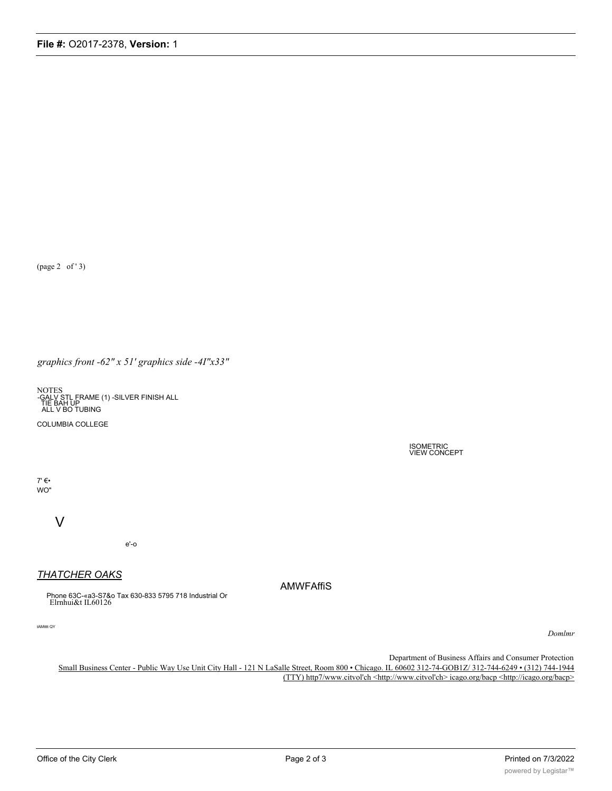(page 2 of '3)

graphics front -62" x 51' graphics side -4I"x33"

NOTES<br>-GALV STL FRAME (1) -SILVER FINISH ALL<br>TIE BAH UP<br>ALL V BO TUBING

COLUMBIA COLLEGE

**ISOMETRIC<br>VIEW CONCEPT** 

 $7' \in \bullet$ WO"

V

 $e'-o$ 

## **THATCHER OAKS**

Phone 63C-«a3-S7&o Tax 630-833 5795 718 Industrial Or<br>Elrnhui&t IL60126

tAMtttt QY

Domlmr

Department of Business Affairs and Consumer Protection

Small Business Center - Public Way Use Unit City Hall - 121 N LaSalle Street, Room 800 · Chicago. IL 60602 312-74-GOB1Z/ 312-744-6249 · (312) 744-1944 (TTY) http7/www.citvol'ch <http://www.citvol'ch> icago.org/bacp <http://icago.org/bacp>

**AMWFAffiS**